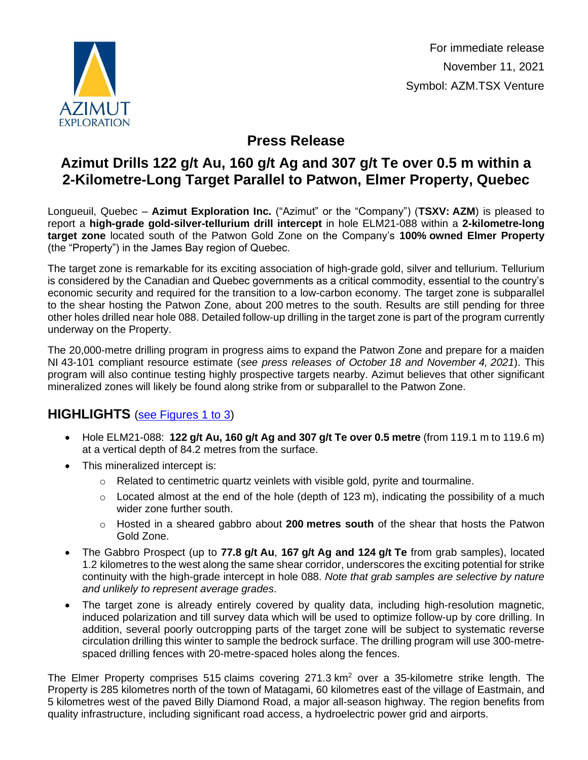

For immediate release November 11, 2021 Symbol: AZM.TSX Venture

# **Press Release**

# **Azimut Drills 122 g/t Au, 160 g/t Ag and 307 g/t Te over 0.5 m within a 2-Kilometre-Long Target Parallel to Patwon, Elmer Property, Quebec**

Longueuil, Quebec – **Azimut Exploration Inc.** ("Azimut" or the "Company") (**TSXV: AZM**) is pleased to report a **high-grade gold-silver-tellurium drill intercept** in hole ELM21-088 within a **2-kilometre-long target zone** located south of the Patwon Gold Zone on the Company's **100% owned Elmer Property** (the "Property") in the James Bay region of Quebec.

The target zone is remarkable for its exciting association of high-grade gold, silver and tellurium. Tellurium is considered by the Canadian and Quebec governments as a critical commodity, essential to the country's economic security and required for the transition to a low-carbon economy. The target zone is subparallel to the shear hosting the Patwon Zone, about 200 metres to the south. Results are still pending for three other holes drilled near hole 088. Detailed follow-up drilling in the target zone is part of the program currently underway on the Property.

The 20,000-metre drilling program in progress aims to expand the Patwon Zone and prepare for a maiden NI 43-101 compliant resource estimate (*see press releases of October 18 and November 4, 2021*). This program will also continue testing highly prospective targets nearby. Azimut believes that other significant mineralized zones will likely be found along strike from or subparallel to the Patwon Zone.

### **HIGHLIGHTS** [\(see Figures](http://www.azimut-exploration.com/en/presentations/AZM_PR20211111_Fig1_3_p.pdf) 1 to 3)

- Hole ELM21-088: **122 g/t Au, 160 g/t Ag and 307 g/t Te over 0.5 metre** (from 119.1 m to 119.6 m) at a vertical depth of 84.2 metres from the surface.
- This mineralized intercept is:
	- $\circ$  Related to centimetric quartz veinlets with visible gold, pyrite and tourmaline.
	- $\circ$  Located almost at the end of the hole (depth of 123 m), indicating the possibility of a much wider zone further south.
	- o Hosted in a sheared gabbro about **200 metres south** of the shear that hosts the Patwon Gold Zone.
- The Gabbro Prospect (up to **77.8 g/t Au**, **167 g/t Ag and 124 g/t Te** from grab samples), located 1.2 kilometres to the west along the same shear corridor, underscores the exciting potential for strike continuity with the high-grade intercept in hole 088. *Note that grab samples are selective by nature and unlikely to represent average grades*.
- The target zone is already entirely covered by quality data, including high-resolution magnetic, induced polarization and till survey data which will be used to optimize follow-up by core drilling. In addition, several poorly outcropping parts of the target zone will be subject to systematic reverse circulation drilling this winter to sample the bedrock surface. The drilling program will use 300-metrespaced drilling fences with 20-metre-spaced holes along the fences.

The Elmer Property comprises 515 claims covering  $271.3 \text{ km}^2$  over a 35-kilometre strike length. The Property is 285 kilometres north of the town of Matagami, 60 kilometres east of the village of Eastmain, and 5 kilometres west of the paved Billy Diamond Road, a major all-season highway. The region benefits from quality infrastructure, including significant road access, a hydroelectric power grid and airports.